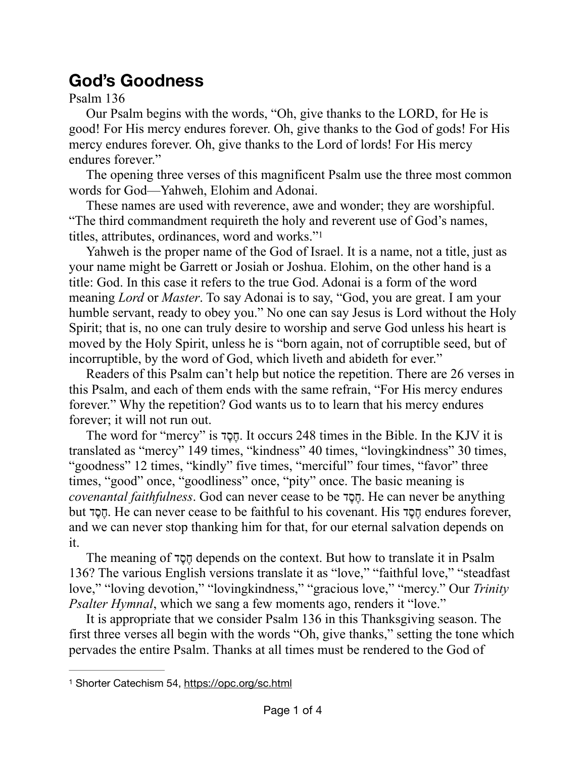## **God's Goodness**

Psalm 136

Our Psalm begins with the words, "Oh, give thanks to the LORD, for He is good! For His mercy endures forever. Oh, give thanks to the God of gods! For His mercy endures forever. Oh, give thanks to the Lord of lords! For His mercy endures forever."

The opening three verses of this magnificent Psalm use the three most common words for God—Yahweh, Elohim and Adonai.

These names are used with reverence, awe and wonder; they are worshipful. "The third commandment requireth the holy and reverent use of God's names, titles, attributes, ordinances, word and works."[1](#page-0-0)

<span id="page-0-1"></span>Yahweh is the proper name of the God of Israel. It is a name, not a title, just as your name might be Garrett or Josiah or Joshua. Elohim, on the other hand is a title: God. In this case it refers to the true God. Adonai is a form of the word meaning *Lord* or *Master*. To say Adonai is to say, "God, you are great. I am your humble servant, ready to obey you." No one can say Jesus is Lord without the Holy Spirit; that is, no one can truly desire to worship and serve God unless his heart is moved by the Holy Spirit, unless he is "born again, not of corruptible seed, but of incorruptible, by the word of God, which liveth and abideth for ever."

Readers of this Psalm can't help but notice the repetition. There are 26 verses in this Psalm, and each of them ends with the same refrain, "For His mercy endures forever." Why the repetition? God wants us to to learn that his mercy endures forever; it will not run out.

The word for "mercy" is דֶסֶח. It occurs 248 times in the Bible. In the KJV it is translated as "mercy" 149 times, "kindness" 40 times, "lovingkindness" 30 times, "goodness" 12 times, "kindly" five times, "merciful" four times, "favor" three times, "good" once, "goodliness" once, "pity" once. The basic meaning is *covenantal faithfulness*. God can never cease to be דֶסֶח. He can never be anything but דֶסֶח. He can never cease to be faithful to his covenant. His דֶסֶח endures forever, and we can never stop thanking him for that, for our eternal salvation depends on it.

The meaning of דֶסֶח depends on the context. But how to translate it in Psalm 136? The various English versions translate it as "love," "faithful love," "steadfast love," "loving devotion," "lovingkindness," "gracious love," "mercy." Our *Trinity Psalter Hymnal*, which we sang a few moments ago, renders it "love."

It is appropriate that we consider Psalm 136 in this Thanksgiving season. The first three verses all begin with the words "Oh, give thanks," setting the tone which pervades the entire Psalm. Thanks at all times must be rendered to the God of

<span id="page-0-0"></span>Shorter Catechism 54,<https://opc.org/sc.html> [1](#page-0-1)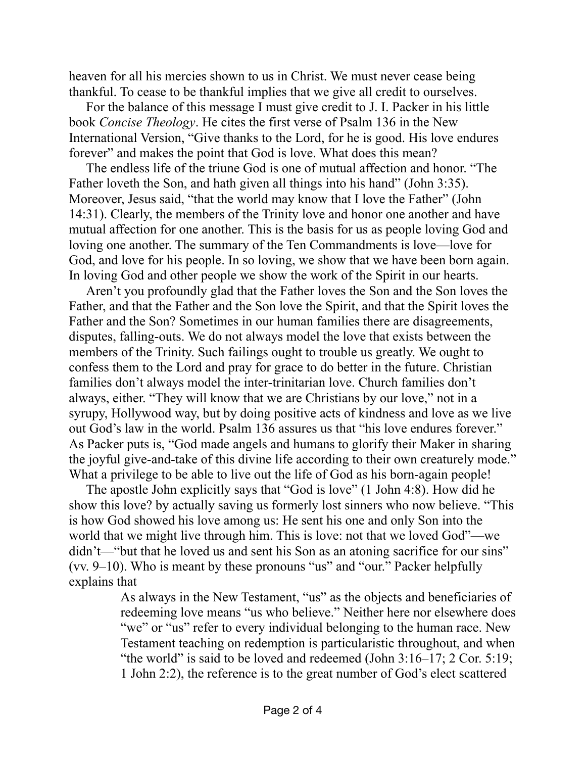heaven for all his mercies shown to us in Christ. We must never cease being thankful. To cease to be thankful implies that we give all credit to ourselves.

For the balance of this message I must give credit to J. I. Packer in his little book *Concise Theology*. He cites the first verse of Psalm 136 in the New International Version, "Give thanks to the Lord, for he is good. His love endures forever" and makes the point that God is love. What does this mean?

The endless life of the triune God is one of mutual affection and honor. "The Father loveth the Son, and hath given all things into his hand" (John 3:35). Moreover, Jesus said, "that the world may know that I love the Father" (John 14:31). Clearly, the members of the Trinity love and honor one another and have mutual affection for one another. This is the basis for us as people loving God and loving one another. The summary of the Ten Commandments is love—love for God, and love for his people. In so loving, we show that we have been born again. In loving God and other people we show the work of the Spirit in our hearts.

Aren't you profoundly glad that the Father loves the Son and the Son loves the Father, and that the Father and the Son love the Spirit, and that the Spirit loves the Father and the Son? Sometimes in our human families there are disagreements, disputes, falling-outs. We do not always model the love that exists between the members of the Trinity. Such failings ought to trouble us greatly. We ought to confess them to the Lord and pray for grace to do better in the future. Christian families don't always model the inter-trinitarian love. Church families don't always, either. "They will know that we are Christians by our love," not in a syrupy, Hollywood way, but by doing positive acts of kindness and love as we live out God's law in the world. Psalm 136 assures us that "his love endures forever." As Packer puts is, "God made angels and humans to glorify their Maker in sharing the joyful give-and-take of this divine life according to their own creaturely mode." What a privilege to be able to live out the life of God as his born-again people!

The apostle John explicitly says that "God is love" (1 John 4:8). How did he show this love? by actually saving us formerly lost sinners who now believe. "This is how God showed his love among us: He sent his one and only Son into the world that we might live through him. This is love: not that we loved God"—we didn't—"but that he loved us and sent his Son as an atoning sacrifice for our sins" (vv. 9–10). Who is meant by these pronouns "us" and "our." Packer helpfully explains that

> As always in the New Testament, "us" as the objects and beneficiaries of redeeming love means "us who believe." Neither here nor elsewhere does "we" or "us" refer to every individual belonging to the human race. New Testament teaching on redemption is particularistic throughout, and when "the world" is said to be loved and redeemed (John  $3:16-17$ ;  $2$  Cor.  $5:19$ ; 1 John 2:2), the reference is to the great number of God's elect scattered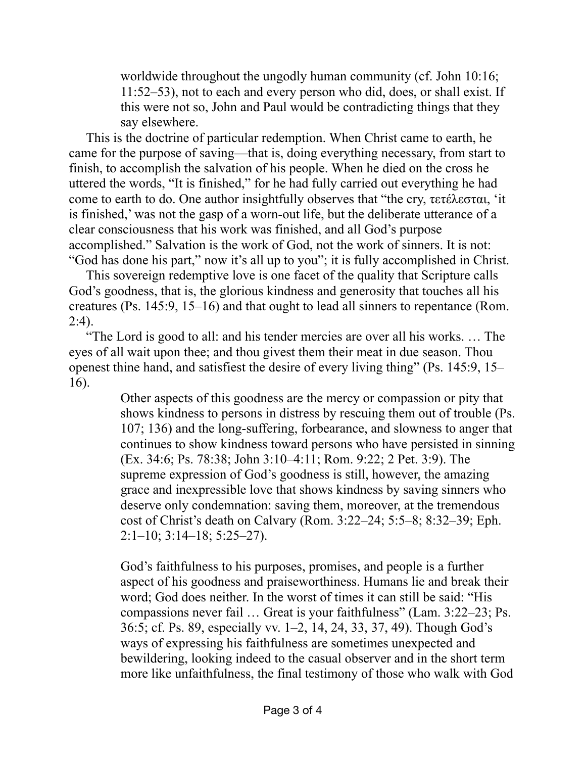worldwide throughout the ungodly human community (cf. John 10:16; 11:52–53), not to each and every person who did, does, or shall exist. If this were not so, John and Paul would be contradicting things that they say elsewhere.

This is the doctrine of particular redemption. When Christ came to earth, he came for the purpose of saving—that is, doing everything necessary, from start to finish, to accomplish the salvation of his people. When he died on the cross he uttered the words, "It is finished," for he had fully carried out everything he had come to earth to do. One author insightfully observes that "the cry, τετέλεσται, 'it is finished,' was not the gasp of a worn-out life, but the deliberate utterance of a clear consciousness that his work was finished, and all God's purpose accomplished." Salvation is the work of God, not the work of sinners. It is not: "God has done his part," now it's all up to you"; it is fully accomplished in Christ.

This sovereign redemptive love is one facet of the quality that Scripture calls God's goodness, that is, the glorious kindness and generosity that touches all his creatures (Ps. 145:9, 15–16) and that ought to lead all sinners to repentance (Rom.  $2:4$ ).

"The Lord is good to all: and his tender mercies are over all his works. … The eyes of all wait upon thee; and thou givest them their meat in due season. Thou openest thine hand, and satisfiest the desire of every living thing" (Ps. 145:9, 15– 16).

> Other aspects of this goodness are the mercy or compassion or pity that shows kindness to persons in distress by rescuing them out of trouble (Ps. 107; 136) and the long-suffering, forbearance, and slowness to anger that continues to show kindness toward persons who have persisted in sinning (Ex. 34:6; Ps. 78:38; John 3:10–4:11; Rom. 9:22; 2 Pet. 3:9). The supreme expression of God's goodness is still, however, the amazing grace and inexpressible love that shows kindness by saving sinners who deserve only condemnation: saving them, moreover, at the tremendous cost of Christ's death on Calvary (Rom. 3:22–24; 5:5–8; 8:32–39; Eph.  $2:1-10$ ;  $3:14-18$ ;  $5:25-27$ ).

> God's faithfulness to his purposes, promises, and people is a further aspect of his goodness and praiseworthiness. Humans lie and break their word; God does neither. In the worst of times it can still be said: "His compassions never fail … Great is your faithfulness" (Lam. 3:22–23; Ps. 36:5; cf. Ps. 89, especially vv. 1–2, 14, 24, 33, 37, 49). Though God's ways of expressing his faithfulness are sometimes unexpected and bewildering, looking indeed to the casual observer and in the short term more like unfaithfulness, the final testimony of those who walk with God